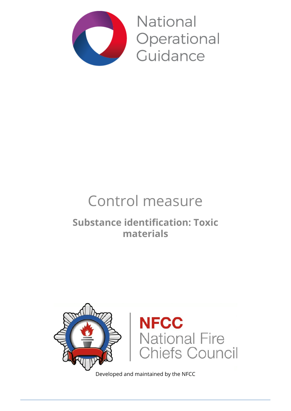

**National** Operational Guidance

# Control measure

### **Substance identification: Toxic materials**



Developed and maintained by the NFCC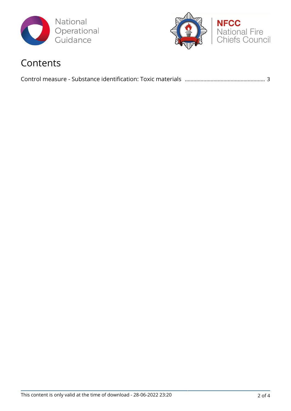



### Contents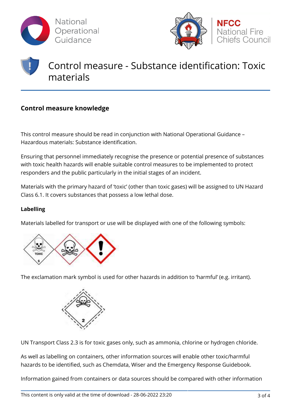



## Control measure - Substance identification: Toxic materials

### **Control measure knowledge**

This control measure should be read in conjunction with National Operational Guidance – Hazardous materials: Substance identification.

Ensuring that personnel immediately recognise the presence or potential presence of substances with toxic health hazards will enable suitable control measures to be implemented to protect responders and the public particularly in the initial stages of an incident.

Materials with the primary hazard of 'toxic' (other than toxic gases) will be assigned to UN Hazard Class 6.1. It covers substances that possess a low lethal dose.

#### **Labelling**

Materials labelled for transport or use will be displayed with one of the following symbols:



The exclamation mark symbol is used for other hazards in addition to 'harmful' (e.g. irritant).



UN Transport Class 2.3 is for toxic gases only, such as ammonia, chlorine or hydrogen chloride.

As well as labelling on containers, other information sources will enable other toxic/harmful hazards to be identified, such as Chemdata, Wiser and the Emergency Response Guidebook.

Information gained from containers or data sources should be compared with other information